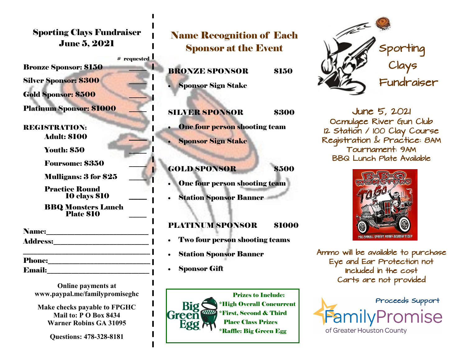Sporting Clays Fundraiser June 5, 2021

 $#$  requested

Bronze Sponsor: \$150 \_\_\_\_\_

Silver Sponsor: \$300

Gold Sponsor: \$500

Platinum Sponsor: \$1000

REGISTRATION: Adult: \$100 \_\_\_\_\_

**Youth: \$50** 

Foursome: \$350

Mulligans: 3 for \$25

 Practice Round 10 clays \$10 \_\_\_\_\_

 BBQ Monsters Lunch Plate \$10 \_\_\_\_\_

Name:\_\_\_\_\_\_\_\_\_\_\_\_\_\_\_\_\_\_\_\_\_\_\_\_\_\_\_\_\_

Address:\_\_\_\_\_\_\_\_\_\_\_\_\_\_\_\_\_\_\_\_\_\_\_\_\_\_\_

\_\_\_\_\_\_\_\_\_\_\_\_\_\_\_\_\_\_\_\_\_\_\_\_\_\_\_\_\_\_\_\_\_\_\_\_ Phone:\_\_\_\_\_\_\_\_\_\_\_\_\_\_\_\_\_\_\_\_\_\_\_\_\_\_\_\_\_

**Online payments at www.paypal.me/familypromiseghc**

 $\bf{Email:}$ 

**Make checks payable to FPGHC Mail to: P O Box 8434 Warner Robins GA 31095**

**Questions: 478-328-8181**

## Name Recognition of Each Sponsor at the Event

BRONZE SPONSOR \$150

• Sponsor Sign Stake

SILVER SPONSOR \$300 **One four person shooting team** 

• Sponsor Sign Stake

GOLD SPONSOR \$500

- **One four person shooting team**
- Station Sponsor Banner

## PLATINUM SPONSOR \$1000

- Two four person shooting teams
- **Station Sponsor Banner**
- **Sponsor Gift**





June 5, 2021 Ocmulgee River Gun Club 12 Station / 100 Clay Course Registration & Practice: 8AM Tournament: 9AM BBQ Lunch Plate Available



Ammo will be available to purchase Eye and Ear Protection not Included in the cost Carts are not provided